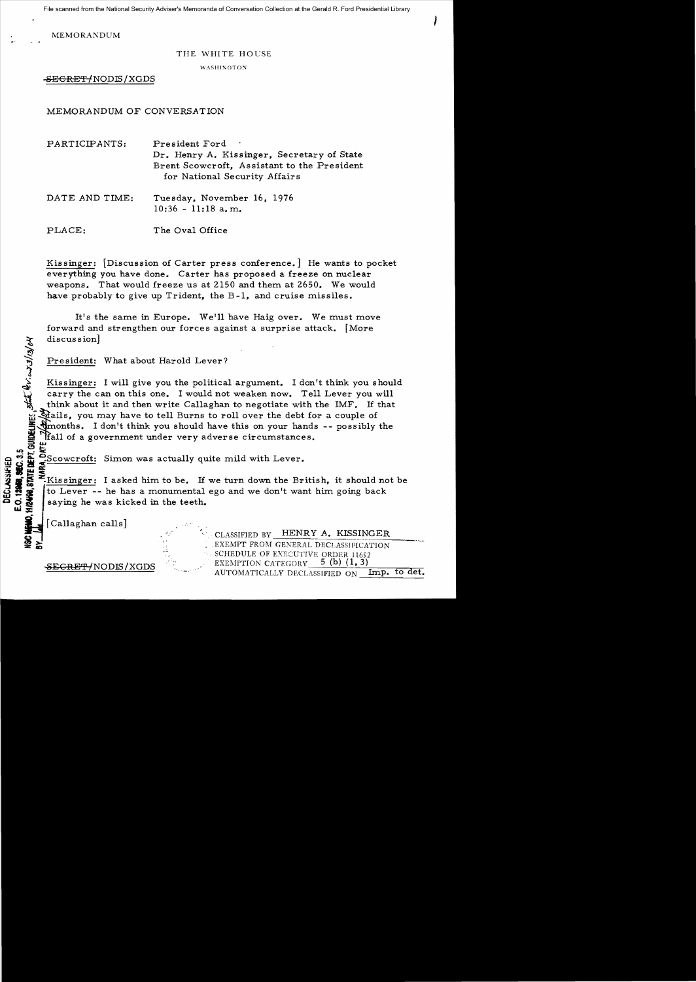File scanned from the National Security Adviser's Memoranda of Conversation Collection at the Gerald R. Ford Presidential Library

I

MEMORANDUM

## THE WHITE HOUSE

WASHINGTON

<del>-SECRET/</del>NODIS/XGDS

## MEMORANDUM OF CONVERSATION

| PARTICIPANTS:  | President Ford<br>Dr. Henry A. Kissinger, Secretary of State<br>Brent Scowcroft, Assistant to the President<br>for National Security Affairs |
|----------------|----------------------------------------------------------------------------------------------------------------------------------------------|
| DATE AND TIME: | Tuesday, November 16, 1976<br>$10:36 - 11:18$ a.m.                                                                                           |

PLACE: The Oval Office

Kissinger: [Discussion of Carter press conference.] He wants to pocket everything you have done. Carter has proposed a freeze on nuclear weapons. That would freeze us at 2150 and them at 2650. We would have probably to give up Trident, the B-1, and cruise missiles.

It's the same in Europe. We'll have Haig over. We must move forward and strengthen our forces against a surprise attack. [More discussion]

President: What about Harold Lever?

Kissinger: I will give you the political argument. I don't think you should carry the can on this one. I would not weaken now. Tell Lever you will think about it and then write Callaghan to negotiate with the IMF. If that ilals, you may have to tell Burns to roll over the debt for a couple of Smonths. I don't think you should have this on your hands  $-$ - possibly the **!f** all of a government under very adverse circumstances.

는 GJ 결 준..

 $\mathcal{L}$  :

 $\frac{1}{2}$   $\frac{1}{2}$   $\frac{1}{2}$   $\frac{1}{2}$   $\frac{1}{2}$   $\frac{1}{2}$   $\frac{1}{2}$   $\frac{1}{2}$   $\frac{1}{2}$   $\frac{1}{2}$   $\frac{1}{2}$   $\frac{1}{2}$   $\frac{1}{2}$   $\frac{1}{2}$   $\frac{1}{2}$   $\frac{1}{2}$   $\frac{1}{2}$   $\frac{1}{2}$   $\frac{1}{2}$   $\frac{1}{2}$   $\frac{1}{2}$   $\frac{1}{2}$  <u> ネ & 는 조</u>  $\frac{1}{10}$   $\frac{1}{10}$   $\frac{1}{10}$   $\frac{1}{10}$  asked him to be. If we turn down the British, it should not be<br> $\frac{1}{10}$  to Lever -- he has a monumental ego and we don't want him going back<br> $\frac{1}{10}$  saying he was kicked in to Lever -- he has a monumental ego and we don't want him going back saying he was kicked in the teeth.

[Callaghan calls]

State Quicks/13/04

STATE DEPT. GUIDEL

**HI2498** 

CLASSIFIED BY **HENRY A. KISSINGER**<br> **EXEMPT FROM GENERAL DECLASSIFICATION** .EXEMPT FROM GENERAL DECLASS1FICATION SCHEDULE OF EXECUTIVE ORDER 11652 **SEGRET/NODIS/XGDS**  $\frac{1}{2}$  EXEMPTION CATEGORY  $\frac{5}{1}$  (b) (1,3) AUTOMATICALLY DECLASSIFIED ON Imp. to det.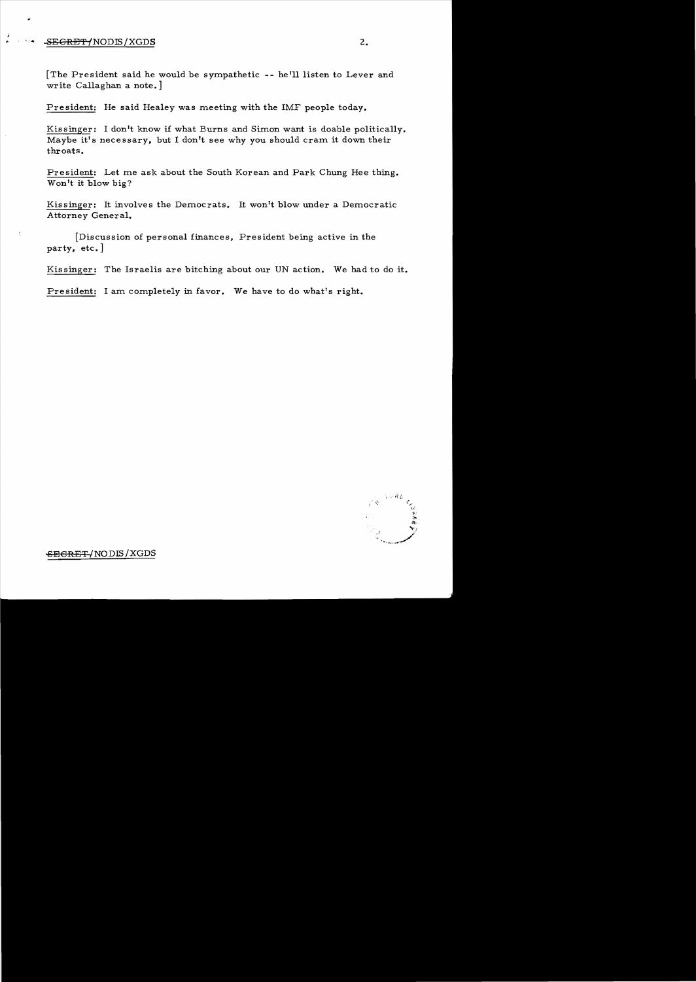## SEGRET/NODIS/XGDS

 $\mathbf{I}$ 

The President said he would be sympathetic -- he'll listen to Lever and write Callaghan a note.

President: He said Healey was meeting with the IMF people today.

Kissinger: I don't know if what Burns and Simon want is doable politically. Maybe it's necessary, but I don't see why you should cram it down their throats.

President: Let me ask about the South Korean and Park Chung Hee thing. Won't it blow big?

Kissinger: It involves the Democrats. It won't blow under a Democratic Attorney General.

Discussion of personal finances, President being active in the party, etc.]

Kissinger: The Israelis are bitching about our UN action. We had to do it.

President: I am completely in favor. We have to do what's right.



<del>SECRET/</del>NODIS/XGDS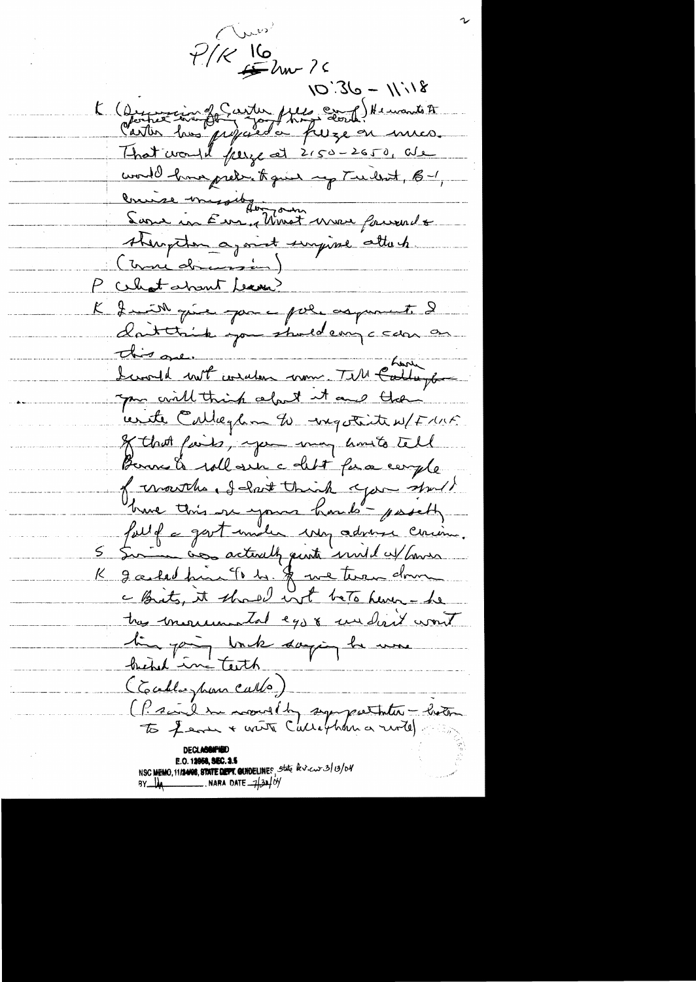aus  $P/K = \frac{16}{5}$ Um ?  $10^{11}/1 - 08.01$ K (Ductier in for the file of the wants to world how prekent faid my Tuillet, B-1, Crise missiber de Mondin<br>Sans in Eur, Monst une fourale staugeton agoint surpine attach K I mill qu'il par ce pole asparent. I dattrick you stand empc can on this one. " with conclusion to the failure you will think celout it and then unte Callegan to mystrite u/Funt of that finds, you may hosts tell Borne & will sur a debt for a comple of mouths, I hast think you should have this one yours hands posetty fait f a gast unile une advenu cercin. 5 Sur actively quote und extension K galed fine To be \$ we twee down a Brits, it should not beto here- he tres morremantal eggs undiret wont tin pain unde danging la une (Practice de mondal supportantes - hotel **E.O. 12050, SEC. 2.5**<br>NSC MEMO, 1112408, STATE DEPT. QUIDELINES State besides 3/01/04 BY  $\frac{1}{4}$